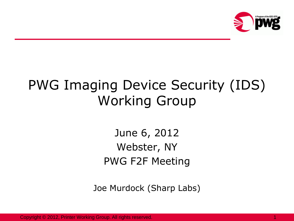

# PWG Imaging Device Security (IDS) Working Group

June 6, 2012 Webster, NY PWG F2F Meeting

Joe Murdock (Sharp Labs)

Copyright © 2012, Printer Working Group. All rights reserved.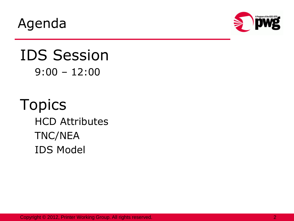Agenda



#### IDS Session 9:00 – 12:00

Topics HCD Attributes TNC/NEA IDS Model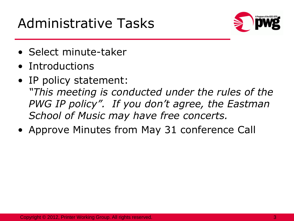## Administrative Tasks



- Select minute-taker
- Introductions
- IP policy statement: *"This meeting is conducted under the rules of the PWG IP policy". If you don't agree, the Eastman School of Music may have free concerts.*
- Approve Minutes from May 31 conference Call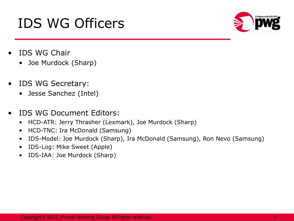# • IDS WG Secretary:

IDS WG Officers

• Jesse Sanchez (Intel)

• Joe Murdock (Sharp)

• IDS WG Chair

- IDS WG Document Editors:
	- HCD-ATR: Jerry Thrasher (Lexmark), Joe Murdock (Sharp)
	- HCD-TNC: Ira McDonald (Samsung)
	- IDS-Model: Joe Murdock (Sharp), Ira McDonald (Samsung), Ron Nevo (Samsung)
	- IDS-Log: Mike Sweet (Apple)
	- IDS-IAA: Joe Murdock (Sharp)

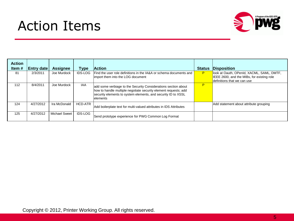## Action Items



| <b>Action</b><br>Item # | <b>Entry date</b> | <b>Assignee</b>      | Type           | <b>Action</b>                                                                                                                                                                                                   | <b>Status</b> | <b>Disposition</b>                         |
|-------------------------|-------------------|----------------------|----------------|-----------------------------------------------------------------------------------------------------------------------------------------------------------------------------------------------------------------|---------------|--------------------------------------------|
| 81                      | 2/3/2011          | Joe Murdock          | <b>IDS-LOG</b> | Find the user role definitions in the IA&A or schema documents and                                                                                                                                              | P             | look at Oauth, OPenId, XACML, SAML, DMTF,  |
|                         |                   |                      |                | limport them into the LOG document                                                                                                                                                                              |               | IEEE 2600, and the MIBs, for existing role |
|                         |                   |                      |                |                                                                                                                                                                                                                 |               | definitions that we can use                |
| 112                     | 8/4/2011          | Joe Murdock          | <b>IAA</b>     | add some verbiage to the Security Considerations section about<br>how to handle multiple negotiate security element requests; add<br>security elements to system elements, and security ID to XSSL<br>lelements | P             |                                            |
| 124                     | 4/27/2012         | Ira McDonald         | HCD-ATR        | Add boilerplate text for multi-valued attributes in IDS Attributes                                                                                                                                              |               | Add statement about attribute grouping     |
| 125                     | 4/27/2012         | <b>Michael Sweet</b> | <b>IDS-LOG</b> | Send prototype experience for PWG Common Log Format                                                                                                                                                             |               |                                            |

Copyright © 2012, Printer Working Group. All rights reserved.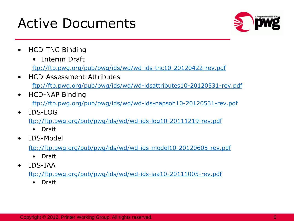### Active Documents



- HCD-TNC Binding
	- Interim Draft

<ftp://ftp.pwg.org/pub/pwg/ids/wd/wd-ids-tnc10-20120422-rev.pdf>

- HCD-Assessment-Attributes <ftp://ftp.pwg.org/pub/pwg/ids/wd/wd-idsattributes10-20120531-rev.pdf>
- HCD-NAP Binding <ftp://ftp.pwg.org/pub/pwg/ids/wd/wd-ids-napsoh10-20120531-rev.pdf>
	- IDS-LOG <ftp://ftp.pwg.org/pub/pwg/ids/wd/wd-ids-log10-20111219-rev.pdf>
		- Draft
- IDS-Model

<ftp://ftp.pwg.org/pub/pwg/ids/wd/wd-ids-model10-20120605-rev.pdf>

- Draft
- IDS-IAA

<ftp://ftp.pwg.org/pub/pwg/ids/wd/wd-ids-iaa10-20111005-rev.pdf>

• Draft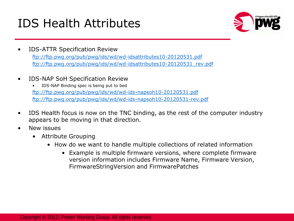#### IDS Health Attributes



- IDS-ATTR Specification Review <ftp://ftp.pwg.org/pub/pwg/ids/wd/wd-idsattributes10-20120531.pdf> [ftp://ftp.pwg.org/pub/pwg/ids/wd/wd-idsattributes10-20120531\\_rev.pdf](ftp://ftp.pwg.org/pub/pwg/ids/wd/wd-idsattributes10-20120531_rev.pdf)
- IDS-NAP SoH Specification Review

IDS-NAP Binding spec is being put to bed <ftp://ftp.pwg.org/pub/pwg/ids/wd/wd-ids-napsoh10-20120531.pdf> <ftp://ftp.pwg.org/pub/pwg/ids/wd/wd-ids-napsoh10-20120531-rev.pdf>

- IDS Health focus is now on the TNC binding, as the rest of the computer industry appears to be moving in that direction.
- New issues
	- Attribute Grouping
		- How do we want to handle multiple collections of related information
			- Example is multiple firmware versions, where complete firmware version information includes Firmware Name, Firmware Version, FirmwareStringVersion and FirmwarePatches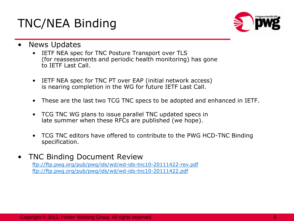#### TNC/NEA Binding



- **News Updates** 
	- IETF NEA spec for TNC Posture Transport over TLS (for reassessments and periodic health monitoring) has gone to IETF Last Call.
	- IETF NEA spec for TNC PT over EAP (initial network access) is nearing completion in the WG for future IETF Last Call.
	- These are the last two TCG TNC specs to be adopted and enhanced in IETF.
	- TCG TNC WG plans to issue parallel TNC updated specs in late summer when these RFCs are published (we hope).
	- TCG TNC editors have offered to contribute to the PWG HCD-TNC Binding specification.
- TNC Binding Document Review

<ftp://ftp.pwg.org/pub/pwg/ids/wd/wd-ids-tnc10-20111422-rev.pdf> [ftp://ftp.pwg.org/pub/pwg/ids/wd/wd-ids-tnc10-20111422.pdf](ftp://ftp.pwg.org/pub/pwg/ids/wd/wd-ids-tnc10-20111205.pdf)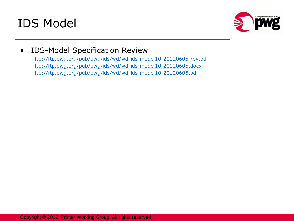



#### • IDS-Model Specification Review

<ftp://ftp.pwg.org/pub/pwg/ids/wd/wd-ids-model10-20120605-rev.pdf> <ftp://ftp.pwg.org/pub/pwg/ids/wd/wd-ids-model10-20120605.docx> <ftp://ftp.pwg.org/pub/pwg/ids/wd/wd-ids-model10-20120605.pdf>